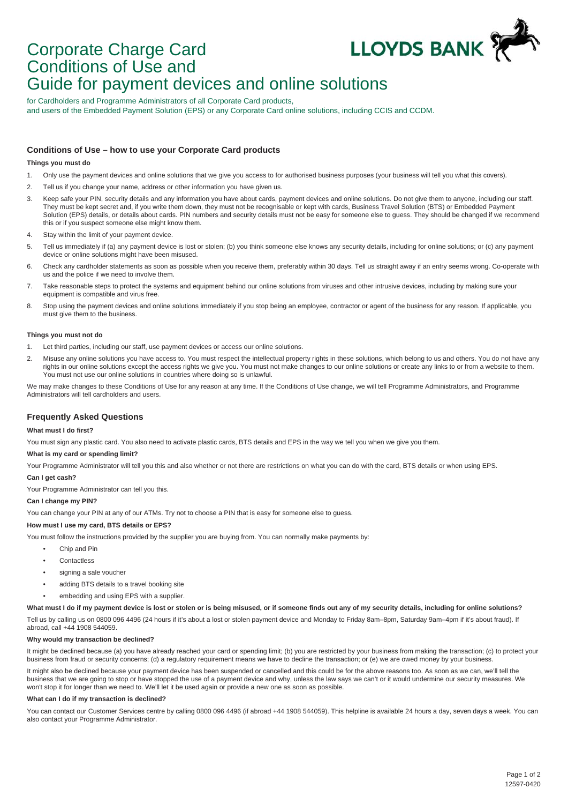

# Corporate Charge Card Conditions of Use and Guide for payment devices and online solutions

for Cardholders and Programme Administrators of all Corporate Card products, and users of the Embedded Payment Solution (EPS) or any Corporate Card online solutions, including CCIS and CCDM.

# **Conditions of Use – how to use your Corporate Card products**

## **Things you must do**

- 1. Only use the payment devices and online solutions that we give you access to for authorised business purposes (your business will tell you what this covers).
- 2. Tell us if you change your name, address or other information you have given us.
- 3. Keep safe your PIN, security details and any information you have about cards, payment devices and online solutions. Do not give them to anyone, including our staff. They must be kept secret and, if you write them down, they must not be recognisable or kept with cards, Business Travel Solution (BTS) or Embedded Payment Solution (EPS) details, or details about cards. PIN numbers and security details must not be easy for someone else to guess. They should be changed if we recommend this or if you suspect someone else might know them.
- 4. Stay within the limit of your payment device.
- 5. Tell us immediately if (a) any payment device is lost or stolen; (b) you think someone else knows any security details, including for online solutions; or (c) any payment device or online solutions might have been misused.
- 6. Check any cardholder statements as soon as possible when you receive them, preferably within 30 days. Tell us straight away if an entry seems wrong. Co-operate with us and the police if we need to involve them.
- 7. Take reasonable steps to protect the systems and equipment behind our online solutions from viruses and other intrusive devices, including by making sure your equipment is compatible and virus free.
- 8. Stop using the payment devices and online solutions immediately if you stop being an employee, contractor or agent of the business for any reason. If applicable, you must give them to the business.

#### **Things you must not do**

- 1. Let third parties, including our staff, use payment devices or access our online solutions.
- 2. Misuse any online solutions you have access to. You must respect the intellectual property rights in these solutions, which belong to us and others. You do not have any rights in our online solutions except the access rights we give you. You must not make changes to our online solutions or create any links to or from a website to them. You must not use our online solutions in countries where doing so is unlawful.

We may make changes to these Conditions of Use for any reason at any time. If the Conditions of Use change, we will tell Programme Administrators, and Programme Administrators will tell cardholders and users.

## **Frequently Asked Questions**

## **What must I do first?**

You must sign any plastic card. You also need to activate plastic cards, BTS details and EPS in the way we tell you when we give you them.

### **What is my card or spending limit?**

Your Programme Administrator will tell you this and also whether or not there are restrictions on what you can do with the card, BTS details or when using EPS.

### **Can I get cash?**

Your Programme Administrator can tell you this.

## **Can I change my PIN?**

You can change your PIN at any of our ATMs. Try not to choose a PIN that is easy for someone else to guess.

# **How must I use my card, BTS details or EPS?**

You must follow the instructions provided by the supplier you are buying from. You can normally make payments by:

- Chip and Pin
- Contactless
- signing a sale voucher
- adding BTS details to a travel booking site
- embedding and using EPS with a supplier.

#### What must I do if my payment device is lost or stolen or is being misused, or if someone finds out any of my security details, including for online solutions?

Tell us by calling us on 0800 096 4496 (24 hours if it's about a lost or stolen payment device and Monday to Friday 8am–8pm, Saturday 9am–4pm if it's about fraud). If abroad, call +44 1908 544059.

#### **Why would my transaction be declined?**

It might be declined because (a) you have already reached your card or spending limit; (b) you are restricted by your business from making the transaction; (c) to protect your business from fraud or security concerns; (d) a regulatory requirement means we have to decline the transaction; or (e) we are owed money by your business

It might also be declined because your payment device has been suspended or cancelled and this could be for the above reasons too. As soon as we can, we'll tell the business that we are going to stop or have stopped the use of a payment device and why, unless the law says we can't or it would undermine our security measures. We won't stop it for longer than we need to. We'll let it be used again or provide a new one as soon as possible.

#### **What can I do if my transaction is declined?**

You can contact our Customer Services centre by calling 0800 096 4496 (if abroad +44 1908 544059). This helpline is available 24 hours a day, seven days a week. You can also contact your Programme Administrator.